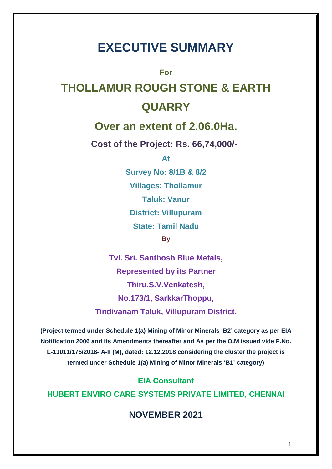# **EXECUTIVE SUMMARY**

**For**

# **THOLLAMUR ROUGH STONE & EARTH QUARRY**

# **Over an extent of 2.06.0Ha.**

**Cost of the Project: Rs. 66,74,000/-**

**At**

**Survey No: 8/1B & 8/2 Villages: Thollamur Taluk: Vanur District: Villupuram State: Tamil Nadu By**

**Tvl. Sri. Santhosh Blue Metals, Represented by its Partner Thiru.S.V.Venkatesh, No.173/1, SarkkarThoppu, Tindivanam Taluk, Villupuram District.**

**(Project termed under Schedule 1(a) Mining of Minor Minerals 'B2' category as per EIA Notification 2006 and its Amendments thereafter and As per the O.M issued vide F.No. L-11011/175/2018-IA-II (M), dated: 12.12.2018 considering the cluster the project is termed under Schedule 1(a) Mining of Minor Minerals 'B1' category)**

**EIA Consultant HUBERT ENVIRO CARE SYSTEMS PRIVATE LIMITED, CHENNAI**

**NOVEMBER 2021**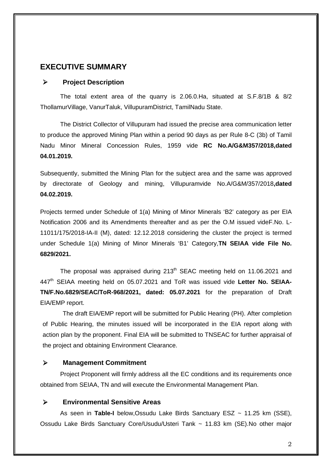#### **EXECUTIVE SUMMARY**

#### **Project Description**

The total extent area of the quarry is 2.06.0.Ha, situated at S.F.8/1B & 8/2 ThollamurVillage, VanurTaluk, VillupuramDistrict, TamilNadu State.

The District Collector of Villupuram had issued the precise area communication letter to produce the approved Mining Plan within a period 90 days as per Rule 8-C (3b) of Tamil Nadu Minor Mineral Concession Rules, 1959 vide **RC No.A/G&M357/2018,dated 04.01.2019.**

Subsequently, submitted the Mining Plan for the subject area and the same was approved by directorate of Geology and mining, Villupuramvide No.A/G&M/357/2018**,dated 04.02.2019.**

Projects termed under Schedule of 1(a) Mining of Minor Minerals 'B2' category as per EIA Notification 2006 and its Amendments thereafter and as per the O.M issued videF.No. L- 11011/175/2018-IA-II (M), dated: 12.12.2018 considering the cluster the project is termed under Schedule 1(a) Mining of Minor Minerals 'B1' Category,**TN SEIAA vide File No. 6829/2021.**

The proposal was appraised during 213<sup>th</sup> SEAC meeting held on 11.06.2021 and 447<sup>th</sup> SEIAA meeting held on 05.07.2021 and ToR was issued vide Letter No. SEIAA-**TN/F.No.6829/SEAC/ToR-968/2021, dated: 05.07.2021** for the preparation of Draft EIA/EMP report.

The draft EIA/EMP report will be submitted for Public Hearing (PH). After completion of Public Hearing, the minutes issued will be incorporated in the EIA report along with action plan by the proponent. Final EIA will be submitted to TNSEAC for further appraisal of the project and obtaining Environment Clearance.

#### **Management Commitment**

Project Proponent will firmly address all the EC conditions and its requirements once obtained from SEIAA, TN and will execute the Environmental Management Plan.

#### **Environmental Sensitive Areas**

As seen in **Table-I** below,Ossudu Lake Birds Sanctuary ESZ ~ 11.25 km (SSE), Ossudu Lake Birds Sanctuary Core/Usudu/Usteri Tank ~ 11.83 km (SE).No other major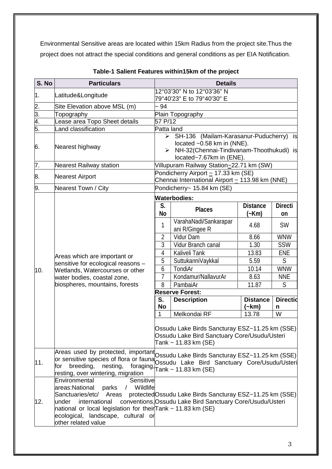Environmental Sensitive areas are located within 15km Radius from the project site.Thus the project does not attract the special conditions and general conditions as per EIA Notification.

| S. No | <b>Particulars</b>                                                                                                                                                                                                                                                                    |                                                                                                                                                                          | <b>Details</b>                                                                                                           |                                     |                           |  |  |
|-------|---------------------------------------------------------------------------------------------------------------------------------------------------------------------------------------------------------------------------------------------------------------------------------------|--------------------------------------------------------------------------------------------------------------------------------------------------------------------------|--------------------------------------------------------------------------------------------------------------------------|-------------------------------------|---------------------------|--|--|
| 1.    | Latitude&Longitude                                                                                                                                                                                                                                                                    | 12°03'30" N to 12°03'36" N                                                                                                                                               |                                                                                                                          |                                     |                           |  |  |
| 2.    | Site Elevation above MSL (m)                                                                                                                                                                                                                                                          | $-94$                                                                                                                                                                    | 79°40'23" E to 79°40'30" E                                                                                               |                                     |                           |  |  |
| 3.    | Topography                                                                                                                                                                                                                                                                            | Plain Topography                                                                                                                                                         |                                                                                                                          |                                     |                           |  |  |
| 4.    | Lease area Topo Sheet details                                                                                                                                                                                                                                                         | 57 P/12                                                                                                                                                                  |                                                                                                                          |                                     |                           |  |  |
| 5.    | and classification                                                                                                                                                                                                                                                                    | Patta land                                                                                                                                                               |                                                                                                                          |                                     |                           |  |  |
| 6.    | Nearest highway                                                                                                                                                                                                                                                                       | > SH-136 (Mailam-Karasanur-Puducherry) is<br>located ~0.58 km in (NNE).<br>NH-32(Chennai-Tindivanam-Thoothukudi) is<br>$\blacktriangleright$<br>located~7.67km in (ENE). |                                                                                                                          |                                     |                           |  |  |
| 7.    | <b>Nearest Railway station</b>                                                                                                                                                                                                                                                        |                                                                                                                                                                          | Villupuram Railway Station~22.71 km (SW)                                                                                 |                                     |                           |  |  |
| 8.    | <b>Nearest Airport</b>                                                                                                                                                                                                                                                                |                                                                                                                                                                          | Pondicherry Airport ~ 17.33 km (SE)<br>Chennai International Airport ~ 113.98 km (NNE)                                   |                                     |                           |  |  |
| 9.    | Nearest Town / City                                                                                                                                                                                                                                                                   |                                                                                                                                                                          | Pondicherry~ 15.84 km (SE)                                                                                               |                                     |                           |  |  |
|       |                                                                                                                                                                                                                                                                                       |                                                                                                                                                                          | <b>Waterbodies:</b>                                                                                                      |                                     |                           |  |  |
|       |                                                                                                                                                                                                                                                                                       | S.<br>No                                                                                                                                                                 | Places                                                                                                                   | <b>Distance</b><br>(~Km)            | <b>Directi</b><br>on      |  |  |
|       |                                                                                                                                                                                                                                                                                       | 1                                                                                                                                                                        | VarahaNadi/Sankarapar<br>ani R/Gingee R                                                                                  | 4.68                                | <b>SW</b>                 |  |  |
|       |                                                                                                                                                                                                                                                                                       | $\overline{2}$                                                                                                                                                           | Vidur Dam                                                                                                                | 8.66                                | <b>WNW</b>                |  |  |
|       |                                                                                                                                                                                                                                                                                       | 3                                                                                                                                                                        | Vidur Branch canal                                                                                                       | 1.30                                | <b>SSW</b>                |  |  |
|       | Areas which are important or<br>sensitive for ecological reasons -                                                                                                                                                                                                                    | 4                                                                                                                                                                        | Kaliveli Tank                                                                                                            | 13.83                               | <b>ENE</b>                |  |  |
|       |                                                                                                                                                                                                                                                                                       | 5                                                                                                                                                                        | SuttukanniVaykkal                                                                                                        | 5.59                                | $\mathsf{S}$              |  |  |
| 10.   | Wetlands, Watercourses or other                                                                                                                                                                                                                                                       | 6                                                                                                                                                                        | TondiAr                                                                                                                  | 10.14                               | <b>WNW</b>                |  |  |
|       | water bodies, coastal zone,                                                                                                                                                                                                                                                           | 7                                                                                                                                                                        | Kondamur/NallavurAr                                                                                                      | 8.63                                | <b>NNE</b>                |  |  |
|       | biospheres, mountains, forests                                                                                                                                                                                                                                                        | 8                                                                                                                                                                        | PambaiAr                                                                                                                 | 11.87                               | S                         |  |  |
|       |                                                                                                                                                                                                                                                                                       | S.<br><b>No</b><br>1                                                                                                                                                     | <b>Reserve Forest:</b><br><b>Description</b><br>Melkondai RF                                                             | <b>Distance</b><br>$(-km)$<br>13.78 | <b>Directid</b><br>n<br>W |  |  |
|       |                                                                                                                                                                                                                                                                                       |                                                                                                                                                                          | Ossudu Lake Birds Sancturay ESZ~11.25 km (SSE)<br>Ossudu Lake Bird Sanctuary Core/Usudu/Usteri<br>Tank ~ $11.83$ km (SE) |                                     |                           |  |  |
| 11.   | Areas used by protected, important Ossudu Lake Birds Sancturay ESZ~11.25 km (SSE)<br>or sensitive species of flora or fauna Ossudu Lake Bird Sanctuary Core/Usudu/Usteri<br>breeding,<br>nesting,<br>foraging, $Tank \sim 11.83$ km (SE)<br>for<br>resting, over wintering, migration |                                                                                                                                                                          |                                                                                                                          |                                     |                           |  |  |
| 12.   | Environmental<br>Sensitive<br>areas:National<br>Wildlife<br>parks<br>$\sqrt{2}$<br>Sanctuaries/etc/ Areas<br>international<br>under<br>national or local legislation for theirTank ~ 11.83 km (SE)<br>ecological, landscape, cultural or<br>other related value                       |                                                                                                                                                                          | protected Ossudu Lake Birds Sancturay ESZ~11.25 km (SSE)<br>conventions, Ossudu Lake Bird Sanctuary Core/Usudu/Usteri    |                                     |                           |  |  |

#### **Table-1 Salient Features within15km of the project**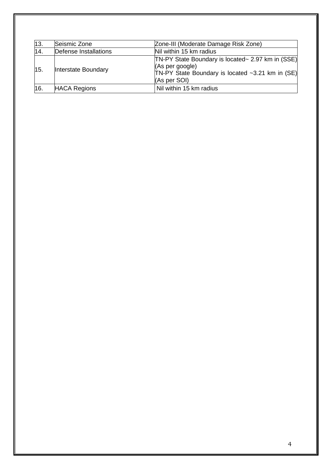| 13. | Seismic Zone          | Zone-III (Moderate Damage Risk Zone)                                                                                                     |
|-----|-----------------------|------------------------------------------------------------------------------------------------------------------------------------------|
| 14. | Defense Installations | Nil within 15 km radius                                                                                                                  |
| 15. | Interstate Boundary   | TN-PY State Boundary is located~ 2.97 km in (SSE)<br>(As per google)<br>TN-PY State Boundary is located ~3.21 km in (SE)<br>(As per SOI) |
| 16. | <b>HACA Regions</b>   | Nil within 15 km radius                                                                                                                  |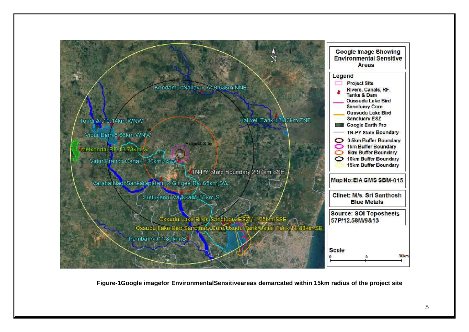

**Figure-1Google imagefor EnvironmentalSensitiveareas demarcated within 15km radius of the project site**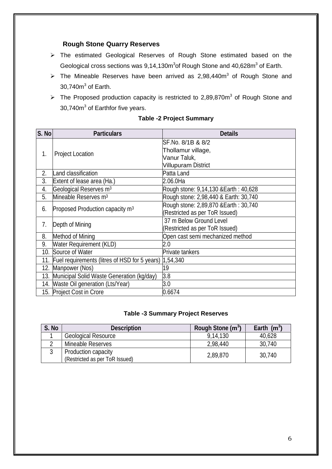#### **Rough Stone Quarry Reserves**

- The estimated Geological Reserves of Rough Stone estimated based on the Geological cross sections was 9,14,130m<sup>3</sup>of Rough Stone and 40,628m<sup>3</sup> of Earth.
- $\triangleright$  The Mineable Reserves have been arrived as 2,98,440m<sup>3</sup> of Rough Stone and 30,740 $\mathsf{m}^3$  of Earth.
- $\triangleright$  The Proposed production capacity is restricted to 2,89,870m<sup>3</sup> of Rough Stone and 30,740m <sup>3</sup> of Earthfor five years.

| S. No | <b>Particulars</b>                            | <b>Details</b>                         |
|-------|-----------------------------------------------|----------------------------------------|
|       |                                               | SF.No. 8/1B & 8/2                      |
| 1.    | <b>Project Location</b>                       | Thollamur village,<br>Vanur Taluk,     |
|       |                                               | <b>Villupuram District</b>             |
| 2.    | Land classification                           | Patta Land                             |
| 3.    | Extent of lease area (Ha.)                    | 2.06.0Ha                               |
| 4.    | Geological Reserves m <sup>3</sup>            | Rough stone: 9,14,130 & Earth : 40,628 |
| 5.    | Mineable Reserves m <sup>3</sup>              | Rough stone: 2,98,440 & Earth: 30,740  |
| 6.    | Proposed Production capacity m <sup>3</sup>   | Rough stone: 2,89,870 & Earth: 30,740  |
|       |                                               | (Restricted as per ToR Issued)         |
| 7.    | Depth of Mining                               | 37 m Below Ground Level                |
|       |                                               | (Restricted as per ToR Issued)         |
| 8.    | Method of Mining                              | Open cast semi mechanized method       |
| 9.    | <b>Water Requirement (KLD)</b>                | 2.0                                    |
| 10.   | Source of Water                               | Private tankers                        |
| 11.   | Fuel requirements (litres of HSD for 5 years) | 1,54,340                               |
| 12.   | Manpower (Nos)                                | 19                                     |
| 13.   | Municipal Solid Waste Generation (kg/day)     | 3.8                                    |
|       | 14. Waste Oil generation (Lts/Year)           | 3.0                                    |
|       | 15. Project Cost in Crore                     | 0.6674                                 |

#### **Table -2 Project Summary**

#### **Table -3 Summary Project Reserves**

| S. No | <b>Description</b>             | Rough Stone (m <sup>3</sup> ) | Earth $(m^3)$ |
|-------|--------------------------------|-------------------------------|---------------|
|       | <b>Geological Resource</b>     | 9,14,130                      | 40,628        |
|       | Mineable Reserves              | 2,98,440                      | 30,740        |
|       | Production capacity            | 2,89,870                      | 30,740        |
|       | (Restricted as per ToR Issued) |                               |               |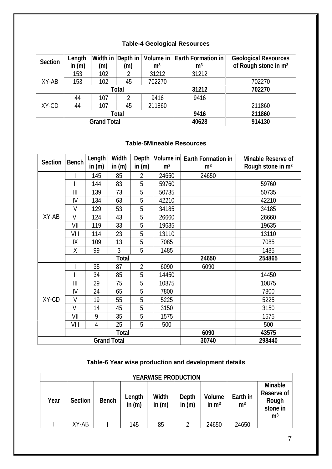### **Table-4 Geological Resources**

| Section | Length   |                    |       |                | Width in Depth in   Volume in   Earth Formation in | <b>Geological Resources</b>      |
|---------|----------|--------------------|-------|----------------|----------------------------------------------------|----------------------------------|
|         | in $(m)$ | (m)                | (m)   | m <sup>3</sup> | m <sup>3</sup>                                     | of Rough stone in m <sup>3</sup> |
|         | 153      | 102                |       | 31212          | 31212                                              |                                  |
| XY-AB   | 153      | 102                | 45    | 702270         |                                                    | 702270                           |
|         |          |                    | Total |                | 31212                                              | 702270                           |
|         | 44       | 107                |       | 9416           | 9416                                               |                                  |
| XY-CD   | 44       | 107                | 45    | 211860         |                                                    | 211860                           |
|         |          |                    | Total |                | 9416                                               | 211860                           |
|         |          | <b>Grand Total</b> |       | 40628          | 914130                                             |                                  |

#### **Table-5Mineable Resources**

|         |              | Length   | Width              | Depth          | Volume in      | Earth Formation in | Minable Reserve of            |
|---------|--------------|----------|--------------------|----------------|----------------|--------------------|-------------------------------|
| Section | Bench        | in $(m)$ | in $(m)$           | in $(m)$       | m <sup>3</sup> | m <sup>3</sup>     | Rough stone in m <sup>3</sup> |
|         |              | 145      | 85                 | $\overline{2}$ | 24650          | 24650              |                               |
|         | $\mathbf{I}$ | 144      | 83                 | 5              | 59760          |                    | 59760                         |
|         | $\parallel$  | 139      | 73                 | 5              | 50735          |                    | 50735                         |
|         | IV           | 134      | 63                 | 5              | 42210          |                    | 42210                         |
|         | V            | 129      | 53                 | 5              | 34185          |                    | 34185                         |
| XY-AB   | VI           | 124      | 43                 | 5              | 26660          |                    | 26660                         |
|         | VII          | 119      | 33                 | 5              | 19635          |                    | 19635                         |
|         | VIII         | 114      | 23                 | 5              | 13110          |                    | 13110                         |
|         | IX           | 109      | 13                 | 5              | 7085           |                    | 7085                          |
|         | Χ            | 99       | 3                  | 5              | 1485           |                    | 1485                          |
|         |              |          | Total              |                |                | 24650              | 254865                        |
|         |              | 35       | 87                 | $\overline{2}$ | 6090           | 6090               |                               |
|         | $\mathbf{I}$ | 34       | 85                 | 5              | 14450          |                    | 14450                         |
|         | III          | 29       | 75                 | 5              | 10875          |                    | 10875                         |
|         | IV           | 24       | 65                 | 5              | 7800           |                    | 7800                          |
| XY-CD   | V            | 19       | 55                 | 5              | 5225           |                    | 5225                          |
|         | VI           | 14       | 45                 | 5              | 3150           |                    | 3150                          |
|         | VII          | 9        | 35                 | 5              | 1575           |                    | 1575                          |
|         | VIII         | 4        | 25                 | 5              | 500            |                    | 500                           |
|         |              |          | Total              |                |                | 6090               | 43575                         |
|         |              |          | <b>Grand Total</b> |                | 30740          | 298440             |                               |

#### **Table-6 Year wise production and development details**

| YEARWISE PRODUCTION |         |       |                    |                   |                   |                   |                            |                                                              |
|---------------------|---------|-------|--------------------|-------------------|-------------------|-------------------|----------------------------|--------------------------------------------------------------|
| Year                | Section | Bench | Length<br>in $(m)$ | Width<br>in $(m)$ | Depth<br>in $(m)$ | Volume<br>in $m3$ | Earth in<br>m <sup>3</sup> | Minable<br>Reserve of<br>Rough<br>stone in<br>m <sup>3</sup> |
|                     | XY-AB   |       | 145                | 85                |                   | 24650             | 24650                      |                                                              |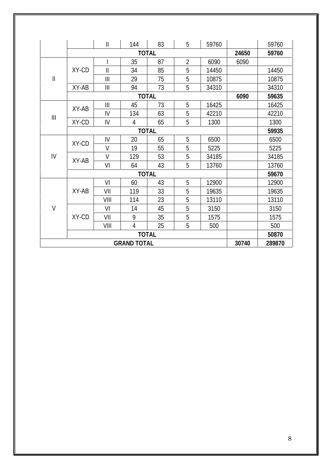|                                       |              | $\mathbf{II}$                         | 144                | 83           | 5              | 59760 |       | 59760  |
|---------------------------------------|--------------|---------------------------------------|--------------------|--------------|----------------|-------|-------|--------|
|                                       |              |                                       |                    | <b>TOTAL</b> |                |       | 24650 | 59760  |
|                                       |              |                                       | 35                 | 87           | $\overline{2}$ | 6090  | 6090  |        |
|                                       | XY-CD        | $\mathsf{I}$                          | 34                 | 85           | 5              | 14450 |       | 14450  |
| $\ensuremath{\mathsf{II}}$            |              | $\mathbf{III}$                        | 29                 | 75           | 5              | 10875 |       | 10875  |
|                                       | XY-AB        | $\mathbf{III}$                        | 94                 | 73           | 5              | 34310 |       | 34310  |
|                                       |              |                                       |                    | <b>TOTAL</b> |                |       | 6090  | 59635  |
|                                       |              | $\begin{array}{c} \hline \end{array}$ | 45                 | 73           | 5              | 16425 |       | 16425  |
| $\begin{array}{c} \hline \end{array}$ | XY-AB        | IV                                    | 134                | 63           | 5              | 42210 |       | 42210  |
|                                       | XY-CD        | IV                                    | 4                  | 65           | 5              | 1300  |       | 1300   |
|                                       | <b>TOTAL</b> |                                       |                    |              |                |       |       | 59935  |
|                                       | XY-CD        | IV                                    | 20                 | 65           | 5              | 6500  |       | 6500   |
|                                       |              | $\vee$                                | 19                 | 55           | 5              | 5225  |       | 5225   |
| IV                                    | XY-AB        | $\vee$                                | 129                | 53           | 5              | 34185 |       | 34185  |
|                                       |              | VI                                    | 64                 | 43           | 5              | 13760 |       | 13760  |
|                                       |              |                                       |                    | 59670        |                |       |       |        |
|                                       |              | VI                                    | 60                 | 43           | 5              | 12900 |       | 12900  |
|                                       | XY-AB        | VII                                   | 119                | 33           | 5              | 19635 |       | 19635  |
|                                       |              | VIII                                  | 114                | 23           | 5              | 13110 |       | 13110  |
| $\vee$                                |              | VI                                    | 14                 | 45           | 5              | 3150  |       | 3150   |
|                                       | XY-CD        | VII                                   | 9                  | 35           | 5              | 1575  |       | 1575   |
|                                       |              | VIII                                  | $\overline{4}$     | 25           | 5              | 500   |       | 500    |
|                                       |              |                                       |                    | <b>TOTAL</b> |                |       |       | 50870  |
|                                       |              |                                       | <b>GRAND TOTAL</b> |              |                |       | 30740 | 289870 |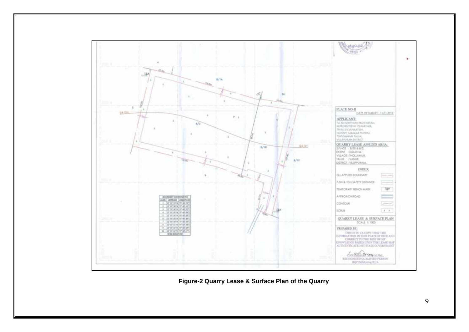

**Figure-2 Quarry Lease & Surface Plan of the Quarry**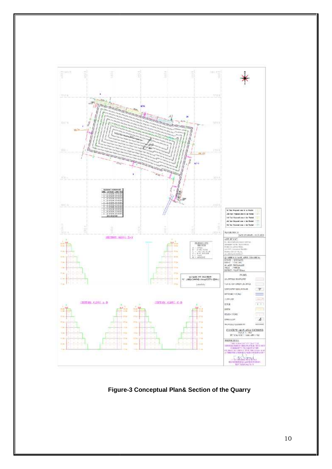

**Figure-3 Conceptual Plan& Section of the Quarry**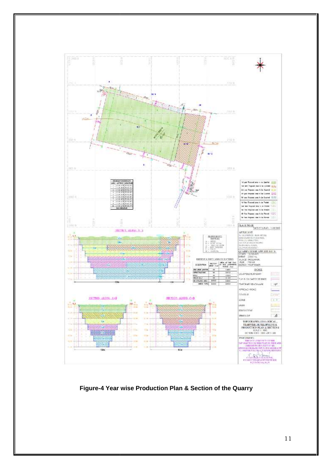

**Figure-4 Year wise Production Plan & Section of the Quarry**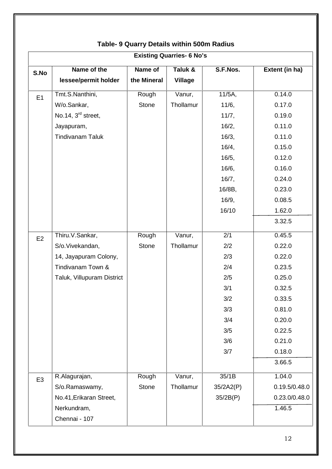| <b>Existing Quarries- 6 No's</b> |                                |              |                |           |                |  |  |
|----------------------------------|--------------------------------|--------------|----------------|-----------|----------------|--|--|
| S.No                             | Name of the                    | Name of      | Taluk &        | S.F.Nos.  | Extent (in ha) |  |  |
|                                  | lessee/permit holder           | the Mineral  | <b>Village</b> |           |                |  |  |
| E1                               | Tmt.S.Nanthini,                | Rough        | Vanur,         | $11/5A$ , | 0.14.0         |  |  |
|                                  | W/o.Sankar,                    | <b>Stone</b> | Thollamur      | 11/6,     | 0.17.0         |  |  |
|                                  | No.14, 3 <sup>rd</sup> street, |              |                | 11/7,     | 0.19.0         |  |  |
|                                  | Jayapuram,                     |              |                | 16/2,     | 0.11.0         |  |  |
|                                  | <b>Tindivanam Taluk</b>        |              |                | 16/3,     | 0.11.0         |  |  |
|                                  |                                |              |                | 16/4,     | 0.15.0         |  |  |
|                                  |                                |              |                | 16/5,     | 0.12.0         |  |  |
|                                  |                                |              |                | 16/6,     | 0.16.0         |  |  |
|                                  |                                |              |                | 16/7,     | 0.24.0         |  |  |
|                                  |                                |              |                | 16/8B,    | 0.23.0         |  |  |
|                                  |                                |              |                | 16/9,     | 0.08.5         |  |  |
|                                  |                                |              |                | 16/10     | 1.62.0         |  |  |
|                                  |                                |              |                |           | 3.32.5         |  |  |
| E2                               | Thiru.V.Sankar,                | Rough        | Vanur,         | 2/1       | 0.45.5         |  |  |
|                                  | S/o.Vivekandan,                | <b>Stone</b> | Thollamur      | 2/2       | 0.22.0         |  |  |
|                                  | 14, Jayapuram Colony,          |              |                | 2/3       | 0.22.0         |  |  |
|                                  | Tindivanam Town &              |              |                | 2/4       | 0.23.5         |  |  |
|                                  | Taluk, Villupuram District     |              |                | 2/5       | 0.25.0         |  |  |
|                                  |                                |              |                | 3/1       | 0.32.5         |  |  |
|                                  |                                |              |                | 3/2       | 0.33.5         |  |  |
|                                  |                                |              |                | 3/3       | 0.81.0         |  |  |
|                                  |                                |              |                | 3/4       | 0.20.0         |  |  |
|                                  |                                |              |                | 3/5       | 0.22.5         |  |  |
|                                  |                                |              |                | 3/6       | 0.21.0         |  |  |
|                                  |                                |              |                | 3/7       | 0.18.0         |  |  |
|                                  |                                |              |                |           | 3.66.5         |  |  |
| E <sub>3</sub>                   | R.Alagurajan,                  | Rough        | Vanur,         | 35/1B     | 1.04.0         |  |  |
|                                  | S/o.Ramaswamy,                 | <b>Stone</b> | Thollamur      | 35/2A2(P) | 0.19.5/0.48.0  |  |  |
|                                  | No.41, Erikaran Street,        |              |                | 35/2B(P)  | 0.23.0/0.48.0  |  |  |
|                                  | Nerkundram,<br>Chennai - 107   |              |                |           | 1.46.5         |  |  |

# **Table- 9 Quarry Details within 500m Radius**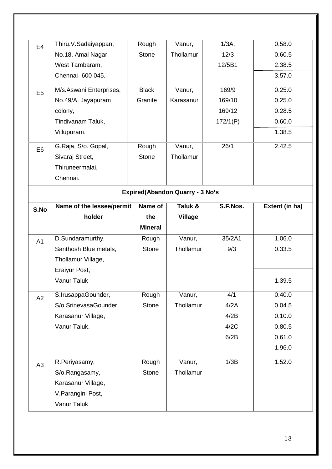| E <sub>4</sub> | Thiru.V.Sadaiyappan,                   | Rough          | Vanur,         | $1/3A$ , | 0.58.0         |  |  |  |  |  |
|----------------|----------------------------------------|----------------|----------------|----------|----------------|--|--|--|--|--|
|                | No.18, Amal Nagar,                     | <b>Stone</b>   | Thollamur      | 12/3     | 0.60.5         |  |  |  |  |  |
|                | West Tambaram,                         |                |                | 12/5B1   | 2.38.5         |  |  |  |  |  |
|                | Chennai- 600 045.                      |                |                |          | 3.57.0         |  |  |  |  |  |
| E <sub>5</sub> | M/s.Aswani Enterprises,                | <b>Black</b>   | Vanur,         | 169/9    | 0.25.0         |  |  |  |  |  |
|                | No.49/A, Jayapuram                     | Granite        | Karasanur      | 169/10   | 0.25.0         |  |  |  |  |  |
|                | colony,                                |                |                | 169/12   | 0.28.5         |  |  |  |  |  |
|                | Tindivanam Taluk,                      |                |                | 172/1(P) | 0.60.0         |  |  |  |  |  |
|                | Villupuram.                            |                |                |          | 1.38.5         |  |  |  |  |  |
| E <sub>6</sub> | G.Raja, S/o. Gopal,                    | Rough          | Vanur,         | 26/1     | 2.42.5         |  |  |  |  |  |
|                | Sivaraj Street,                        | <b>Stone</b>   | Thollamur      |          |                |  |  |  |  |  |
|                | Thiruneermalai,                        |                |                |          |                |  |  |  |  |  |
|                | Chennai.                               |                |                |          |                |  |  |  |  |  |
|                | <b>Expired(Abandon Quarry - 3 No's</b> |                |                |          |                |  |  |  |  |  |
| S.No           | Name of the lessee/permit              | Name of        | Taluk &        | S.F.Nos. | Extent (in ha) |  |  |  |  |  |
|                | holder                                 | the            | <b>Village</b> |          |                |  |  |  |  |  |
|                |                                        | <b>Mineral</b> |                |          |                |  |  |  |  |  |
| A1             | D.Sundaramurthy,                       | Rough          | Vanur,         | 35/2A1   | 1.06.0         |  |  |  |  |  |
|                | Santhosh Blue metals,                  | <b>Stone</b>   | Thollamur      | 9/3      | 0.33.5         |  |  |  |  |  |
|                | Thollamur Village,                     |                |                |          |                |  |  |  |  |  |
|                |                                        |                |                |          |                |  |  |  |  |  |
|                | Eraiyur Post,                          |                |                |          |                |  |  |  |  |  |
|                | Vanur Taluk                            |                |                |          | 1.39.5         |  |  |  |  |  |
|                | S.IrusappaGounder,                     | Rough          | Vanur,         | 4/1      | 0.40.0         |  |  |  |  |  |
| A2             | S/o.SrinevasaGounder,                  | Stone          | Thollamur      | 4/2A     | 0.04.5         |  |  |  |  |  |
|                | Karasanur Village,                     |                |                | 4/2B     | 0.10.0         |  |  |  |  |  |
|                | Vanur Taluk.                           |                |                | 4/2C     | 0.80.5         |  |  |  |  |  |
|                |                                        |                |                | 6/2B     | 0.61.0         |  |  |  |  |  |
|                |                                        |                |                |          | 1.96.0         |  |  |  |  |  |
| A3             | R.Periyasamy,                          | Rough          | Vanur,         | 1/3B     | 1.52.0         |  |  |  |  |  |
|                | S/o.Rangasamy,                         | Stone          | Thollamur      |          |                |  |  |  |  |  |
|                | Karasanur Village,                     |                |                |          |                |  |  |  |  |  |
|                | V. Parangini Post,                     |                |                |          |                |  |  |  |  |  |
|                | Vanur Taluk                            |                |                |          |                |  |  |  |  |  |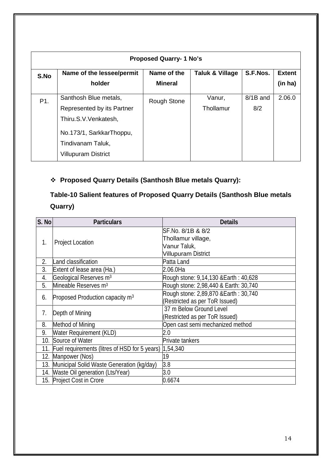| <b>Proposed Quarry-1 No's</b> |                            |                |                 |          |               |  |
|-------------------------------|----------------------------|----------------|-----------------|----------|---------------|--|
| S.No                          | Name of the lessee/permit  | Name of the    | Taluk & Village | S.F.Nos. | <b>Extent</b> |  |
|                               | holder                     | <b>Mineral</b> |                 |          | (in ha)       |  |
| P1.                           | Santhosh Blue metals,      | Rough Stone    | Vanur,          | 8/1B and | 2.06.0        |  |
|                               | Represented by its Partner |                | Thollamur       | 8/2      |               |  |
|                               | Thiru.S.V.Venkatesh,       |                |                 |          |               |  |
|                               | No.173/1, SarkkarThoppu,   |                |                 |          |               |  |
|                               | Tindivanam Taluk,          |                |                 |          |               |  |
|                               | <b>Villupuram District</b> |                |                 |          |               |  |
|                               |                            |                |                 |          |               |  |

## **Proposed Quarry Details (Santhosh Blue metals Quarry):**

# **Table-10 Salient features of Proposed Quarry Details (Santhosh Blue metals Quarry)**

| S. No | <b>Particulars</b>                            | <b>Details</b>                                                                 |
|-------|-----------------------------------------------|--------------------------------------------------------------------------------|
| 1.    | <b>Project Location</b>                       | SF.No. 8/1B & 8/2<br>Thollamur village,<br>Vanur Taluk,<br>Villupuram District |
| 2.    | Land classification                           | Patta Land                                                                     |
| 3.    | Extent of lease area (Ha.)                    | 2.06.0Ha                                                                       |
| 4.    | Geological Reserves m <sup>3</sup>            | Rough stone: 9,14,130 & Earth : 40,628                                         |
| 5.    | Mineable Reserves m <sup>3</sup>              | Rough stone: 2,98,440 & Earth: 30,740                                          |
| 6.    | Proposed Production capacity m <sup>3</sup>   | Rough stone: 2,89,870 & Earth : 30,740<br>(Restricted as per ToR Issued)       |
| 7.    | Depth of Mining                               | 37 m Below Ground Level<br>(Restricted as per ToR Issued)                      |
| 8.    | Method of Mining                              | Open cast semi mechanized method                                               |
| 9.    | <b>Water Requirement (KLD)</b>                | 2.0                                                                            |
| 10.   | Source of Water                               | Private tankers                                                                |
| 11.   | Fuel requirements (litres of HSD for 5 years) | 1,54,340                                                                       |
| 12.   | Manpower (Nos)                                | 19                                                                             |
| 13.   | Municipal Solid Waste Generation (kg/day)     | 3.8                                                                            |
|       | 14. Waste Oil generation (Lts/Year)           | 3.0                                                                            |
|       | 15. Project Cost in Crore                     | 0.6674                                                                         |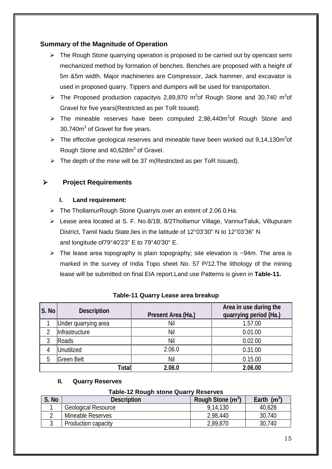#### **Summary of the Magnitude of Operation**

- $\triangleright$  The Rough Stone quarrying operation is proposed to be carried out by opencast semi mechanized method by formation of benches. Benches are proposed with a height of 5m &5m width. Major machineries are Compressor, Jack hammer, and excavator is used in proposed quarry. Tippers and dumpers will be used for transportation.
- $\triangleright$  The Proposed production capacityis 2,89,870 m<sup>3</sup>of Rough Stone and 30,740 m<sup>3</sup>of Gravel for five years(Restricted as per ToR Issued).
- $\triangleright$  The mineable reserves have been computed 2,98,440m<sup>3</sup>of Rough Stone and 30,740 $m<sup>3</sup>$  of Gravel for five years.
- $\triangleright$  The effective geological reserves and mineable have been worked out 9,14,130m<sup>3</sup>of Rough Stone and 40,628m<sup>3</sup> of Gravel.
- $\triangleright$  The depth of the mine will be 37 m(Restricted as per ToR Issued).

#### **Project Requirements**

#### **I. Land requirement:**

- The ThollamurRough Stone Quarryis over an extent of 2.06.0.Ha.
- Lease area located at S. F. No.8/1B, 8/2Thollamur Village, VannurTaluk, Villupuram District, Tamil Nadu State, lies in the latitude of 12°03'30" N to 12°03'36" N and longitude of79°40'23" E to 79°40'30" E.
- $\triangleright$  The lease area topography is plain topography; site elevation is ~94m. The area is marked in the survey of India Topo sheet No. 57 P/12.The lithology of the mining lease will be submitted on final EIA report.Land use Patterns is given in **Table-11.**

| S. No | Description          | Present Area (Ha.) | Area in use during the<br>quarrying period (Ha.) |
|-------|----------------------|--------------------|--------------------------------------------------|
|       | Under quarrying area | Nil                | 1.57.00                                          |
|       | Infrastructure       | Nil                | 0.01.00                                          |
| 3     | Roads                | Nil                | 0.02.00                                          |
|       | Jnutilized           | 2.06.0             | 0.31.00                                          |
| 5     | <b>Green Belt</b>    | Nil                | 0.15.00                                          |
|       | Total                | 2.06.0             | 2.06.00                                          |

#### **Table-11 Quarry Lease area breakup**

#### **II. Quarry Reserves**

#### **Table-12 Rough stone Quarry Reserves**

| 3.00 | <b>Description</b>         | Rough Stone (m <sup>3</sup> ) | Earth $(m^3)$ |
|------|----------------------------|-------------------------------|---------------|
|      | <b>Geological Resource</b> | 9,14,130                      | 40,628        |
|      | Mineable Reserves          | 2,98,440                      | 30,740        |
|      | Production capacity        | 2,89,870                      | 30,740        |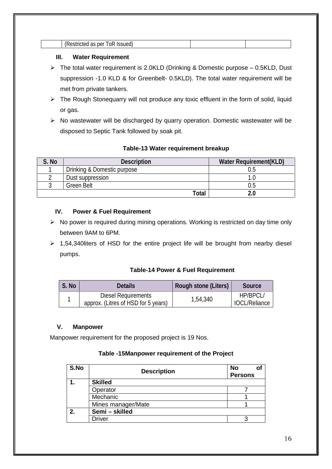| м<br>ш<br>. .<br>. |  |
|--------------------|--|

#### **III. Water Requirement**

- $\triangleright$  The total water requirement is 2.0KLD (Drinking & Domestic purpose 0.5KLD, Dust suppression -1.0 KLD & for Greenbelt- 0.5KLD). The total water requirement will be met from private tankers.
- $\triangleright$  The Rough Stonequarry will not produce any toxic effluent in the form of solid, liquid or gas.
- $\triangleright$  No wastewater will be discharged by quarry operation. Domestic wastewater will be disposed to Septic Tank followed by soak pit.

#### **Table-13 Water requirement breakup**

| S. No | <b>Description</b>          | Water Requirement (KLD) |
|-------|-----------------------------|-------------------------|
|       | Drinking & Domestic purpose |                         |
|       | Dust suppression            |                         |
|       | <b>Green Belt</b>           |                         |
|       | Total                       |                         |

#### **IV. Power & Fuel Requirement**

- $\triangleright$  No power is required during mining operations. Working is restricted on day time only between 9AM to 6PM.
- $\geq 1,54,340$  liters of HSD for the entire project life will be brought from nearby diesel pumps.

#### **Table-14 Power & Fuel Requirement**

| S. No | Details                                                    | Rough stone (Liters) | Source                           |
|-------|------------------------------------------------------------|----------------------|----------------------------------|
|       | Diesel Requirements<br>approx. (Litres of HSD for 5 years) | 1,54,340             | HP/BPCL/<br><b>IOCL/Reliance</b> |

#### **V. Manpower**

Manpower requirement for the proposed project is 19 Nos.

#### **Table -15Manpower requirement of the Project**

| S.No | <b>Description</b> | <b>No</b><br>оf<br><b>Persons</b> |
|------|--------------------|-----------------------------------|
|      | <b>Skilled</b>     |                                   |
|      | Operator           |                                   |
|      | Mechanic           |                                   |
|      | Mines manager/Mate |                                   |
| 2.   | Semi - skilled     |                                   |
|      | Driver             |                                   |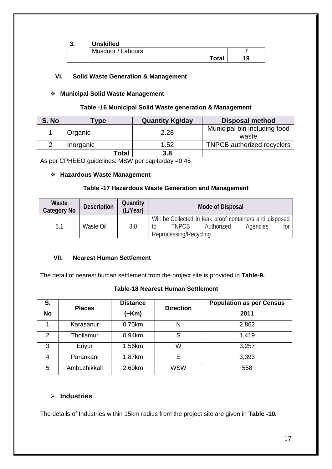| J. | <b>Unskilled</b>  |     |
|----|-------------------|-----|
|    | Musdoor / Labours |     |
|    | <b>Total</b>      | 1 Q |

#### **VI. Solid Waste Generation & Management**

#### **Municipal Solid Waste Management**

#### **Table -16 Municipal Solid Waste generation & Management**

| S. No | <b>Type</b> | <b>Quantity Kg/day</b> | <b>Disposal method</b>                |
|-------|-------------|------------------------|---------------------------------------|
|       | Organic     | 2.28                   | Municipal bin including food<br>waste |
|       | Inorganic   | 1.52                   | <b>TNPCB</b> authorized recyclers     |
|       | Total       | 3.8                    |                                       |

As per CPHEEO guidelines: MSW per capita/day =0.45

#### **Hazardous Waste Management**

#### **Table -17 Hazardous Waste Generation and Management**

| Waste<br>Category No | <b>Description</b> | Quantity<br>(L/Year) | Mode of Disposal                                                                                                                  |
|----------------------|--------------------|----------------------|-----------------------------------------------------------------------------------------------------------------------------------|
| 5.1                  | Waste Oil          | 3.0                  | Will be Collected in leak proof containers and disposed<br>TNPCB<br>Authorized<br>Agencies<br>for<br>tΟ<br>Reprocessing/Recycling |

#### **VII. Nearest Human Settlement**

The detail of nearest human settlement from the project site is provided in **Table-9.**

#### **Table-18 Nearest Human Settlement**

| S.             | <b>Places</b> | <b>Distance</b> | <b>Direction</b> | <b>Population as per Census</b> |  |
|----------------|---------------|-----------------|------------------|---------------------------------|--|
| <b>No</b>      |               | (~Km)           |                  | 2011                            |  |
|                | Karasanur     | 0.75km          | N                | 2,862                           |  |
| 2              | Thollamur     | 0.94km          | S                | 1,419                           |  |
| 3              | Eriyur        | 1.56km          | W                | 3,257                           |  |
| $\overline{4}$ | Parankani     | 1.87km          | Е                | 3,393                           |  |
| 5              | Ambuzhikkali  | 2.69km          | <b>WSW</b>       | 558                             |  |

#### **Industries**

The details of Industries within 15km radius from the project site are given in **Table -10.**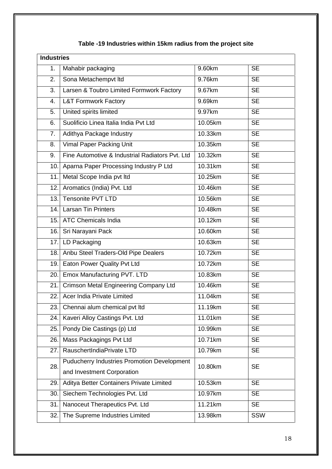# **Table -19 Industries within 15km radius from the project site**

| <b>Industries</b> |                                                    |                      |           |
|-------------------|----------------------------------------------------|----------------------|-----------|
| 1.                | Mahabir packaging                                  | 9.60km               | <b>SE</b> |
| 2.                | Sona Metachempvt Itd                               | 9.76km               | <b>SE</b> |
| 3.                | Larsen & Toubro Limited Formwork Factory           | 9.67km               | <b>SE</b> |
| 4.                | <b>L&amp;T Formwork Factory</b>                    | 9.69km               | <b>SE</b> |
| 5.                | United spirits limited                             | $\overline{9.97}$ km | <b>SE</b> |
| 6.                | Suolificio Linea Italia India Pvt Ltd              | 10.05km              | <b>SE</b> |
| 7.                | Adithya Package Industry                           | 10.33km              | <b>SE</b> |
| 8.                | <b>Vimal Paper Packing Unit</b>                    | 10.35km              | <b>SE</b> |
| 9.                | Fine Automotive & Industrial Radiators Pvt. Ltd    | 10.32km              | <b>SE</b> |
| 10.               | Aparna Paper Processing Industry P Ltd             | 10.31km              | <b>SE</b> |
| 11.               | Metal Scope India pvt Itd                          | 10.25km              | <b>SE</b> |
| 12.               | Aromatics (India) Pvt. Ltd                         | 10.46km              | <b>SE</b> |
| 13.               | <b>Tensonite PVT LTD</b>                           | 10.56km              | <b>SE</b> |
| 14.               | <b>Larsan Tin Printers</b>                         | 10.48km              | <b>SE</b> |
| 15.               | <b>ATC Chemicals India</b>                         | 10.12km              | <b>SE</b> |
| 16.               | Sri Narayani Pack                                  | 10.60km              | <b>SE</b> |
| 17.               | LD Packaging                                       | 10.63km              | <b>SE</b> |
| 18.               | Anbu Steel Traders-Old Pipe Dealers                | 10.72km              | <b>SE</b> |
| 19.               | Eaton Power Quality Pvt Ltd                        | 10.72km              | <b>SE</b> |
| 20.               | Emox Manufacturing PVT. LTD                        | 10.83km              | <b>SE</b> |
| 21.               | Crimson Metal Engineering Company Ltd              | 10.46km              | <b>SE</b> |
| 22.               | Acer India Private Limited                         | 11.04km              | <b>SE</b> |
| 23.               | Chennai alum chemical pvt ltd                      | 11.19km              | <b>SE</b> |
| 24.               | Kaveri Alloy Castings Pvt. Ltd                     | 11.01km              | <b>SE</b> |
| 25.               | Pondy Die Castings (p) Ltd                         | 10.99km              | <b>SE</b> |
| 26.               | Mass Packagings Pvt Ltd                            | 10.71km              | <b>SE</b> |
| 27.               | RauschertIndiaPrivate LTD                          | 10.79km              | <b>SE</b> |
| 28.               | <b>Puducherry Industries Promotion Development</b> | 10.80km              | <b>SE</b> |
|                   | and Investment Corporation                         |                      |           |
| 29.               | Aditya Better Containers Private Limited           | 10.53km              | <b>SE</b> |
| 30.               | Siechem Technologies Pvt. Ltd                      | 10.97km              | <b>SE</b> |
| 31.               | Nanoceut Therapeutics Pvt. Ltd                     | 11.21km              | <b>SE</b> |
| 32.               | The Supreme Industries Limited                     | 13.98km              | SSW       |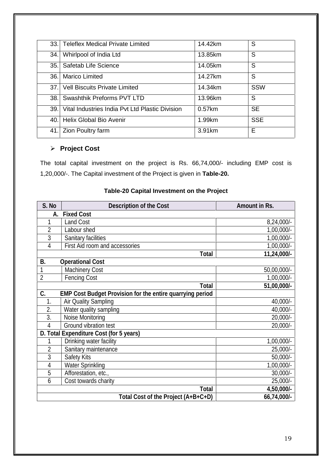| 33.1 | Teleflex Medical Private Limited                | 14.42km   | S          |
|------|-------------------------------------------------|-----------|------------|
| 34.  | Whirlpool of India Ltd                          | 13.85km   | S          |
| 35.1 | Safetab Life Science                            | 14.05km   | S          |
| 36.  | <b>Marico Limited</b>                           | 14.27km   | S          |
| 37.1 | <b>Vell Biscuits Private Limited</b>            | 14.34km   | <b>SSW</b> |
|      | 38. Swashthik Preforms PVT LTD                  | 13.96km   | S          |
| 39.1 | Vital Industries India Pyt Ltd Plastic Division | $0.57$ km | <b>SE</b>  |
| 40.1 | <b>Helix Global Bio Avenir</b>                  | 1.99km    | <b>SSE</b> |
| 41.  | <b>Zion Poultry farm</b>                        | 3.91km    | E          |

#### **Project Cost**

The total capital investment on the project is Rs. 66,74,000/- including EMP cost is 1,20,000/-. The Capital investment of the Project is given in **Table-20.**

| S. No                                                           | Description of the Cost        | Amount in Rs. |  |  |  |
|-----------------------------------------------------------------|--------------------------------|---------------|--|--|--|
| А.                                                              | <b>Fixed Cost</b>              |               |  |  |  |
| 1                                                               | <b>Land Cost</b>               | 8,24,000/-    |  |  |  |
| $\overline{2}$                                                  | Labour shed                    | $1,00,000/-$  |  |  |  |
| 3                                                               | Sanitary facilities            | $1,00,000/-$  |  |  |  |
| 4                                                               | First Aid room and accessories | $1,00,000/-$  |  |  |  |
|                                                                 | Total                          | 11,24,000/-   |  |  |  |
| B.                                                              | <b>Operational Cost</b>        |               |  |  |  |
|                                                                 | <b>Machinery Cost</b>          | 50,00,000/-   |  |  |  |
| $\overline{2}$                                                  | <b>Fencing Cost</b>            | $1,00,000/-$  |  |  |  |
|                                                                 | Total                          | 51,00,000/-   |  |  |  |
| C.<br>EMP Cost Budget Provision for the entire quarrying period |                                |               |  |  |  |
| 1.                                                              | Air Quality Sampling           | 40,000/-      |  |  |  |
| 2.                                                              | Water quality sampling         | 40,000/-      |  |  |  |
| 3.                                                              | Noise Monitoring               | 20,000/-      |  |  |  |
| 4                                                               | Ground vibration test          | 20,000/-      |  |  |  |
| D. Total Expenditure Cost (for 5 years)                         |                                |               |  |  |  |
|                                                                 | Drinking water facility        | $1,00,000/-$  |  |  |  |
| $\overline{2}$                                                  | Sanitary maintenance           | 25,000/-      |  |  |  |
| 3                                                               | Safety Kits                    | $50,000/-$    |  |  |  |
| 4                                                               | <b>Water Sprinkling</b>        | $1,00,000/-$  |  |  |  |
| 5                                                               | Afforestation, etc.,           | $30,000/-$    |  |  |  |
| 6                                                               | Cost towards charity           | 25,000/-      |  |  |  |
|                                                                 | Total<br>4,50,000/-            |               |  |  |  |
| Total Cost of the Project (A+B+C+D)<br>66,74,000/-              |                                |               |  |  |  |

#### **Table-20 Capital Investment on the Project**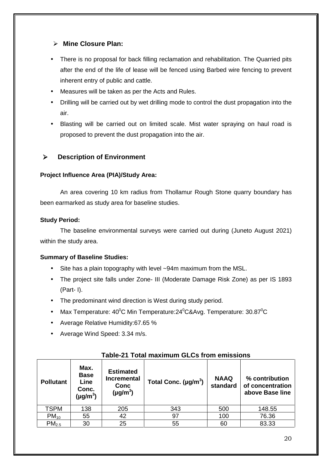#### **Mine Closure Plan:**

- There is no proposal for back filling reclamation and rehabilitation. The Quarried pits after the end of the life of lease will be fenced using Barbed wire fencing to prevent inherent entry of public and cattle.
- Measures will be taken as per the Acts and Rules.
- Drilling will be carried out by wet drilling mode to control the dust propagation into the air.
- Blasting will be carried out on limited scale. Mist water spraying on haul road is proposed to prevent the dust propagation into the air.

#### **Description of Environment**

#### **Project Influence Area (PIA)/Study Area:**

An area covering 10 km radius from Thollamur Rough Stone quarry boundary has been earmarked as study area for baseline studies.

#### **Study Period:**

The baseline environmental surveys were carried out during (Juneto August 2021) within the study area.

#### **Summary of Baseline Studies:**

- Site has a plain topography with level ~94m maximum from the MSL.
- The project site falls under Zone- III (Moderate Damage Risk Zone) as per IS 1893 (Part- I).
- The predominant wind direction is West during study period.
- $\bullet$  Max Temperature: 40 $^0$ C Min Temperature:24 $^0$ C&Avg. Temperature: 30.87 $^0$ C
- Average Relative Humidity:67.65 %
- Average Wind Speed: 3.34 m/s.

| <b>Pollutant</b>  | Max.<br><b>Base</b><br>Line<br>Conc.<br>(µg/m $^3$ ) | <b>Estimated</b><br><b>Incremental</b><br>Conc<br>$(\mu g/m^3)$ | Total Conc. $(\mu g/m^3)$ | <b>NAAQ</b><br>standard | % contribution<br>of concentration<br>above Base line |  |
|-------------------|------------------------------------------------------|-----------------------------------------------------------------|---------------------------|-------------------------|-------------------------------------------------------|--|
| <b>TSPM</b>       | 138                                                  | 205                                                             | 343                       | 500                     | 148.55                                                |  |
| $PM_{10}$         | 55                                                   | 42                                                              | 97                        | 100                     | 76.36                                                 |  |
| PM <sub>2.5</sub> | 30                                                   | 25                                                              | 55                        | 60                      | 83.33                                                 |  |

#### **Table-21 Total maximum GLCs from emissions**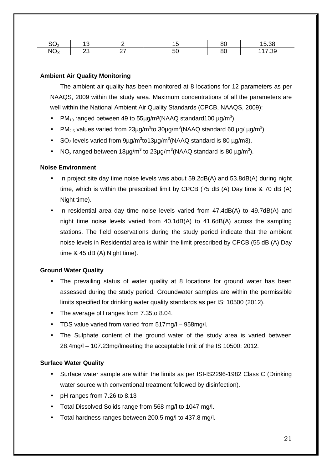| ~~<br>.<br>-             |   | o٢<br>ΩU. | $\sim$ |
|--------------------------|---|-----------|--------|
| $\overline{M}$<br>$\sim$ | ∽ | o,<br>oι  | 7.00   |

#### **Ambient Air Quality Monitoring**

The ambient air quality has been monitored at 8 locations for 12 parameters as per NAAQS, 2009 within the study area. Maximum concentrations of all the parameters are well within the National Ambient Air Quality Standards (CPCB, NAAQS, 2009):

- PM<sub>10</sub> ranged between 49 to 55µg/m<sup>3</sup>(NAAQ standard100 µg/m<sup>3</sup>).
- PM<sub>2.5</sub> values varied from 23µg/m<sup>3</sup>to 30µg/m<sup>3</sup>(NAAQ standard 60 µg/ µg/m<sup>3</sup>).
- SO<sub>2</sub> levels varied from  $9\mu$ g/m<sup>3</sup>to13 $\mu$ g/m<sup>3</sup>(NAAQ standard is 80  $\mu$ g/m3).
- NO<sub>x</sub> ranged between 18µg/m<sup>3</sup> to 23µg/m<sup>3</sup>(NAAQ standard is 80 µg/m<sup>3</sup>).

#### **Noise Environment**

- In project site day time noise levels was about 59.2dB(A) and 53.8dB(A) during night time, which is within the prescribed limit by CPCB (75 dB (A) Day time & 70 dB (A) Night time).
- In residential area day time noise levels varied from 47.4dB(A) to 49.7dB(A) and night time noise levels varied from 40.1dB(A) to 41.6dB(A) across the sampling stations. The field observations during the study period indicate that the ambient noise levels in Residential area is within the limit prescribed by CPCB (55 dB (A) Day time & 45 dB (A) Night time).

#### **Ground Water Quality**

- The prevailing status of water quality at 8 locations for ground water has been assessed during the study period. Groundwater samples are within the permissible limits specified for drinking water quality standards as per IS: 10500 (2012).
- The average pH ranges from 7.35to 8.04.
- TDS value varied from varied from 517mg/l 958mg/l.
- The Sulphate content of the ground water of the study area is varied between 28.4mg/l – 107.23mg/lmeeting the acceptable limit of the IS 10500: 2012.

#### **Surface Water Quality**

- Surface water sample are within the limits as per ISI-IS2296-1982 Class C (Drinking water source with conventional treatment followed by disinfection).
- pH ranges from 7.26 to 8.13
- Total Dissolved Solids range from 568 mg/l to 1047 mg/l.
- Total hardness ranges between 200.5 mg/l to 437.8 mg/l.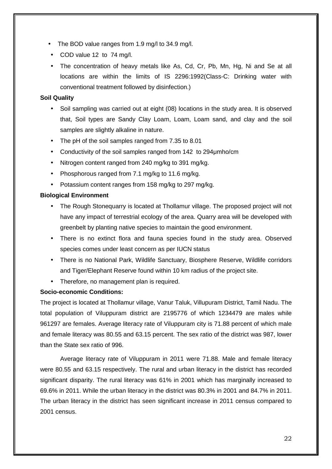- The BOD value ranges from 1.9 mg/l to 34.9 mg/l.
- COD value 12 to 74 mg/l.
- The concentration of heavy metals like As, Cd, Cr, Pb, Mn, Hg, Ni and Se at all locations are within the limits of IS 2296:1992(Class-C: Drinking water with conventional treatment followed by disinfection.)

#### **Soil Quality**

- Soil sampling was carried out at eight (08) locations in the study area. It is observed that, Soil types are Sandy Clay Loam, Loam, Loam sand, and clay and the soil samples are slightly alkaline in nature.
- The pH of the soil samples ranged from 7.35 to 8.01
- Conductivity of the soil samples ranged from 142 to 294μmho/cm
- Nitrogen content ranged from 240 mg/kg to 391 mg/kg.
- Phosphorous ranged from 7.1 mg/kg to 11.6 mg/kg.
- Potassium content ranges from 158 mg/kg to 297 mg/kg.

#### **Biological Environment**

- The Rough Stonequarry is located at Thollamur village. The proposed project will not have any impact of terrestrial ecology of the area. Quarry area will be developed with greenbelt by planting native species to maintain the good environment.
- There is no extinct flora and fauna species found in the study area. Observed species comes under least concern as per IUCN status
- There is no National Park, Wildlife Sanctuary, Biosphere Reserve, Wildlife corridors and Tiger/Elephant Reserve found within 10 km radius of the project site.
- Therefore, no management plan is required.

#### **Socio-economic Conditions:**

The project is located at Thollamur village, Vanur Taluk, Villupuram District, Tamil Nadu. The total population of Viluppuram district are 2195776 of which 1234479 are males while 961297 are females. Average literacy rate of Viluppuram city is 71.88 percent of which male and female literacy was 80.55 and 63.15 percent. The sex ratio of the district was 987, lower than the State sex ratio of 996.

Average literacy rate of Viluppuram in 2011 were 71.88. Male and female literacy were 80.55 and 63.15 respectively. The rural and urban literacy in the district has recorded significant disparity. The rural literacy was 61% in 2001 which has marginally increased to 69.6% in 2011. While the urban literacy in the district was 80.3% in 2001 and 84.7% in 2011. The urban literacy in the district has seen significant increase in 2011 census compared to 2001 census.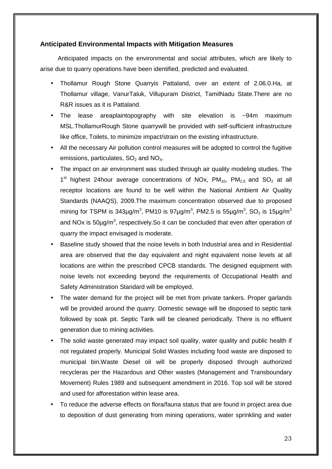#### **Anticipated Environmental Impacts with Mitigation Measures**

Anticipated impacts on the environmental and social attributes, which are likely to arise due to quarry operations have been identified, predicted and evaluated.

- Thollamur Rough Stone Quarryis Pattaland, over an extent of 2.06.0.Ha, at Thollamur village, VanurTaluk, Villupuram District, TamilNadu State.There are no R&R issues as it is Pattaland.
- The lease areaplaintopography with site elevation is ~94m maximum MSL.ThollamurRough Stone quarrywill be provided with self-sufficient infrastructure like office, Toilets, to minimize impact/strain on the existing infrastructure.
- All the necessary Air pollution control measures will be adopted to control the fugitive emissions, particulates,  $SO<sub>2</sub>$  and  $NO<sub>x</sub>$ .
- The impact on air environment was studied through air quality modeling studies. The  $1<sup>st</sup>$  highest 24 hour average concentrations of NOx,  $PM_{10}$ ,  $PM_{2.5}$  and SO<sub>2</sub> at all receptor locations are found to be well within the National Ambient Air Quality Standards (NAAQS), 2009.The maximum concentration observed due to proposed mining for TSPM is 343µg/m $^3$ , PM10 is 97µg/m $^3$ , PM2.5 is 55µg/m $^3$ , SO $_2$  is 15µg/m $^3$ and NOx is 50µg/m<sup>3</sup>, respectively.So it can be concluded that even after operation of quarry the impact envisaged is moderate.
- Baseline study showed that the noise levels in both Industrial area and in Residential area are observed that the day equivalent and night equivalent noise levels at all locations are within the prescribed CPCB standards. The designed equipment with noise levels not exceeding beyond the requirements of Occupational Health and Safety Administration Standard will be employed.
- The water demand for the project will be met from private tankers. Proper garlands will be provided around the quarry. Domestic sewage will be disposed to septic tank followed by soak pit. Septic Tank will be cleaned periodically. There is no effluent generation due to mining activities.
- The solid waste generated may impact soil quality, water quality and public health if not regulated properly. Municipal Solid Wastes including food waste are disposed to municipal bin.Waste Diesel oil will be properly disposed through authorized recycleras per the Hazardous and Other wastes (Management and Transboundary Movement) Rules 1989 and subsequent amendment in 2016. Top soil will be stored and used for afforestation within lease area.
- To reduce the adverse effects on flora/fauna status that are found in project area due to deposition of dust generating from mining operations, water sprinkling and water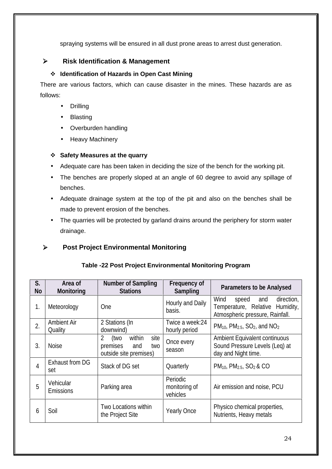spraying systems will be ensured in all dust prone areas to arrest dust generation.

#### **Risk Identification & Management**

#### **Identification of Hazards in Open Cast Mining**

There are various factors, which can cause disaster in the mines. These hazards are as follows:

- Drilling
- Blasting
- Overburden handling
- Heavy Machinery

#### **Safety Measures at the quarry**

- Adequate care has been taken in deciding the size of the bench for the working pit.
- The benches are properly sloped at an angle of 60 degree to avoid any spillage of benches.
- Adequate drainage system at the top of the pit and also on the benches shall be made to prevent erosion of the benches.
- The quarries will be protected by garland drains around the periphery for storm water drainage.

## **Post Project Environmental Monitoring**

| S.<br><b>No</b>  | Area of<br>Monitoring         | Number of Sampling<br><b>Stations</b>                                           | Frequency of<br>Sampling              | Parameters to be Analysed                                                                                |  |
|------------------|-------------------------------|---------------------------------------------------------------------------------|---------------------------------------|----------------------------------------------------------------------------------------------------------|--|
| 1.               | Meteorology                   | <b>One</b>                                                                      | Hourly and Daily<br>basis.            | Wind<br>direction,<br>speed<br>and<br>Temperature, Relative Humidity,<br>Atmospheric pressure, Rainfall. |  |
| $\overline{2}$ . | <b>Ambient Air</b><br>Quality | 2 Stations (In<br>downwind)                                                     | Twice a week:24<br>hourly period      | $PM_{10}$ , $PM_{2.5}$ , SO <sub>2</sub> , and NO <sub>2</sub>                                           |  |
| 3.               | <b>Noise</b>                  | within<br>2<br>(two<br>site<br>premises<br>and<br>two<br>outside site premises) | Once every<br>season                  | Ambient Equivalent continuous<br>Sound Pressure Levels (Leg) at<br>day and Night time.                   |  |
| 4                | Exhaust from DG<br>set        | Stack of DG set                                                                 | Quarterly                             | $PM_{10}$ , $PM_{2.5}$ , $SO_2$ & CO                                                                     |  |
| 5                | Vehicular<br><b>Emissions</b> | Parking area                                                                    | Periodic<br>monitoring of<br>vehicles | Air emission and noise, PCU                                                                              |  |
| 6                | Soil                          | Two Locations within<br>the Project Site                                        | <b>Yearly Once</b>                    | Physico chemical properties,<br>Nutrients, Heavy metals                                                  |  |

# **Table -22 Post Project Environmental Monitoring Program**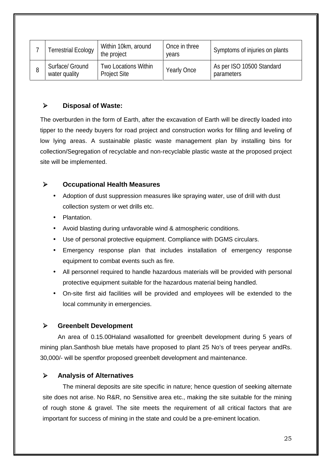| <b>Ferrestrial Ecology</b>       | Within 10km, around<br>the project                 | Once in three<br>vears | Symptoms of injuries on plants          |
|----------------------------------|----------------------------------------------------|------------------------|-----------------------------------------|
| Surface/ Ground<br>water quality | <b>Two Locations Within</b><br><b>Project Site</b> | <b>Yearly Once</b>     | As per ISO 10500 Standard<br>parameters |

#### **Disposal of Waste:**

The overburden in the form of Earth, after the excavation of Earth will be directly loaded into tipper to the needy buyers for road project and construction works for filling and leveling of low lying areas. A sustainable plastic waste management plan by installing bins for collection/Segregation of recyclable and non-recyclable plastic waste at the proposed project site will be implemented.

#### **Occupational Health Measures**

- Adoption of dust suppression measures like spraying water, use of drill with dust collection system or wet drills etc.
- Plantation.
- Avoid blasting during unfavorable wind & atmospheric conditions.
- Use of personal protective equipment. Compliance with DGMS circulars.
- Emergency response plan that includes installation of emergency response equipment to combat events such as fire.
- All personnel required to handle hazardous materials will be provided with personal protective equipment suitable for the hazardous material being handled.
- On-site first aid facilities will be provided and employees will be extended to the local community in emergencies.

#### **Greenbelt Development**

An area of 0.15.00Haland wasallotted for greenbelt development during 5 years of mining plan.Santhosh blue metals have proposed to plant 25 No's of trees peryear andRs. 30,000/- will be spentfor proposed greenbelt development and maintenance.

#### **Analysis of Alternatives**

The mineral deposits are site specific in nature; hence question of seeking alternate site does not arise. No R&R, no Sensitive area etc., making the site suitable for the mining of rough stone & gravel. The site meets the requirement of all critical factors that are important for success of mining in the state and could be a pre-eminent location.